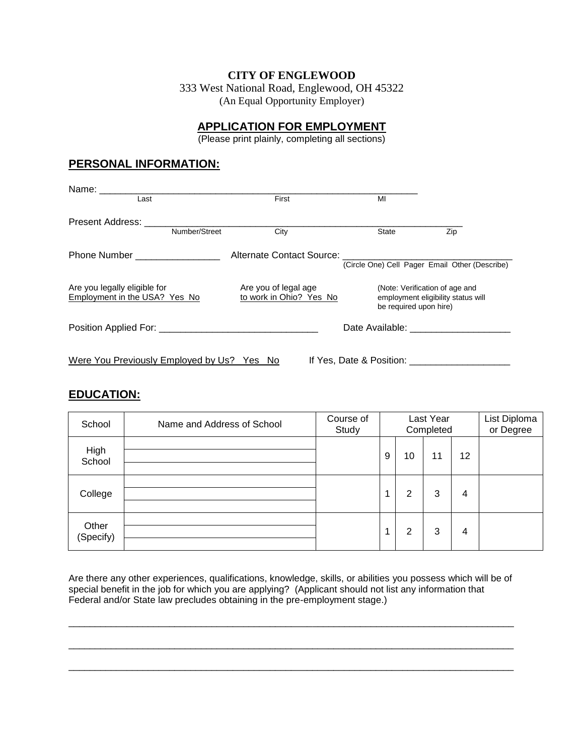#### **CITY OF ENGLEWOOD**

333 West National Road, Englewood, OH 45322 (An Equal Opportunity Employer)

### **APPLICATION FOR EMPLOYMENT**

(Please print plainly, completing all sections)

## **PERSONAL INFORMATION:**

| Name: _____________<br>Last                                   |               | First                                           | MI                                                                                                                                                                                                                             |                                                                      |
|---------------------------------------------------------------|---------------|-------------------------------------------------|--------------------------------------------------------------------------------------------------------------------------------------------------------------------------------------------------------------------------------|----------------------------------------------------------------------|
|                                                               |               |                                                 |                                                                                                                                                                                                                                |                                                                      |
|                                                               |               |                                                 |                                                                                                                                                                                                                                |                                                                      |
|                                                               | Number/Street | City                                            | State                                                                                                                                                                                                                          | Zip                                                                  |
| Phone Number __________________                               |               | Alternate Contact Source:                       |                                                                                                                                                                                                                                |                                                                      |
|                                                               |               |                                                 |                                                                                                                                                                                                                                | (Circle One) Cell Pager Email Other (Describe)                       |
| Are you legally eligible for<br>Employment in the USA? Yes No |               | Are you of legal age<br>to work in Ohio? Yes No | be required upon hire)                                                                                                                                                                                                         | (Note: Verification of age and<br>employment eligibility status will |
|                                                               |               |                                                 |                                                                                                                                                                                                                                | Date Available: _______________________                              |
| Were You Previously Employed by Us? Yes No                    |               |                                                 | If Yes, Date & Position: The Second Second Second Second Second Second Second Second Second Second Second Second Second Second Second Second Second Second Second Second Second Second Second Second Second Second Second Seco |                                                                      |

### **EDUCATION:**

| School             | Name and Address of School | Course of<br>Study |   |    | Last Year<br>Completed |    | List Diploma<br>or Degree |
|--------------------|----------------------------|--------------------|---|----|------------------------|----|---------------------------|
| High<br>School     |                            |                    | 9 | 10 | 11                     | 12 |                           |
| College            |                            |                    | 1 | 2  | 3                      | 4  |                           |
| Other<br>(Specify) |                            |                    | 1 | 2  | 3                      | 4  |                           |

Are there any other experiences, qualifications, knowledge, skills, or abilities you possess which will be of special benefit in the job for which you are applying? (Applicant should not list any information that Federal and/or State law precludes obtaining in the pre-employment stage.)

\_\_\_\_\_\_\_\_\_\_\_\_\_\_\_\_\_\_\_\_\_\_\_\_\_\_\_\_\_\_\_\_\_\_\_\_\_\_\_\_\_\_\_\_\_\_\_\_\_\_\_\_\_\_\_\_\_\_\_\_\_\_\_\_\_\_\_\_\_\_\_\_\_\_\_\_\_\_\_\_\_\_\_\_

\_\_\_\_\_\_\_\_\_\_\_\_\_\_\_\_\_\_\_\_\_\_\_\_\_\_\_\_\_\_\_\_\_\_\_\_\_\_\_\_\_\_\_\_\_\_\_\_\_\_\_\_\_\_\_\_\_\_\_\_\_\_\_\_\_\_\_\_\_\_\_\_\_\_\_\_\_\_\_\_\_\_\_\_

\_\_\_\_\_\_\_\_\_\_\_\_\_\_\_\_\_\_\_\_\_\_\_\_\_\_\_\_\_\_\_\_\_\_\_\_\_\_\_\_\_\_\_\_\_\_\_\_\_\_\_\_\_\_\_\_\_\_\_\_\_\_\_\_\_\_\_\_\_\_\_\_\_\_\_\_\_\_\_\_\_\_\_\_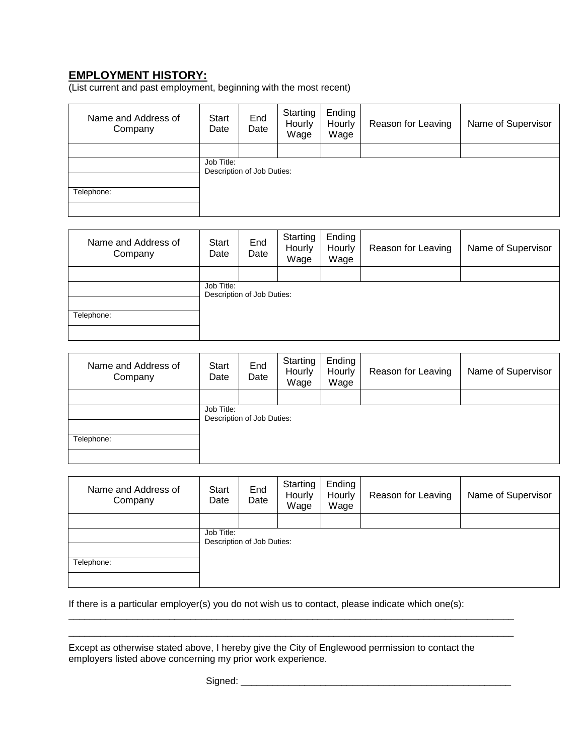# **EMPLOYMENT HISTORY:**

(List current and past employment, beginning with the most recent)

| Name and Address of<br>Company | <b>Start</b><br>Date | End<br>Date                | Starting<br>Hourly<br>Wage | Ending<br>Hourly<br>Wage | Reason for Leaving | Name of Supervisor |
|--------------------------------|----------------------|----------------------------|----------------------------|--------------------------|--------------------|--------------------|
|                                | Job Title:           |                            |                            |                          |                    |                    |
| Telephone:                     |                      | Description of Job Duties: |                            |                          |                    |                    |
|                                |                      |                            |                            |                          |                    |                    |

| Name and Address of<br>Company | Start<br>Date | End<br>Date                | Starting<br>Hourly<br>Wage | Ending<br>Hourly<br>Wage | Reason for Leaving | Name of Supervisor |
|--------------------------------|---------------|----------------------------|----------------------------|--------------------------|--------------------|--------------------|
|                                |               |                            |                            |                          |                    |                    |
|                                | Job Title:    | Description of Job Duties: |                            |                          |                    |                    |
| Telephone:                     |               |                            |                            |                          |                    |                    |
|                                |               |                            |                            |                          |                    |                    |

| Name and Address of<br>Company | Start<br>Date | End<br>Date                | Starting<br>Hourly<br>Wage | Ending<br>Hourly<br>Wage | Reason for Leaving | Name of Supervisor |
|--------------------------------|---------------|----------------------------|----------------------------|--------------------------|--------------------|--------------------|
|                                |               |                            |                            |                          |                    |                    |
|                                | Job Title:    | Description of Job Duties: |                            |                          |                    |                    |
| Telephone:                     |               |                            |                            |                          |                    |                    |
|                                |               |                            |                            |                          |                    |                    |

| Name and Address of<br>Company | <b>Start</b><br>Date | End<br>Date                | Starting<br>Hourly<br>Wage | Ending<br>Hourly<br>Wage | Reason for Leaving | Name of Supervisor |
|--------------------------------|----------------------|----------------------------|----------------------------|--------------------------|--------------------|--------------------|
|                                | Job Title:           | Description of Job Duties: |                            |                          |                    |                    |
| Telephone:                     |                      |                            |                            |                          |                    |                    |

If there is a particular employer(s) you do not wish us to contact, please indicate which one(s):

Except as otherwise stated above, I hereby give the City of Englewood permission to contact the employers listed above concerning my prior work experience.

\_\_\_\_\_\_\_\_\_\_\_\_\_\_\_\_\_\_\_\_\_\_\_\_\_\_\_\_\_\_\_\_\_\_\_\_\_\_\_\_\_\_\_\_\_\_\_\_\_\_\_\_\_\_\_\_\_\_\_\_\_\_\_\_\_\_\_\_\_\_\_\_\_\_\_\_\_\_\_\_\_\_\_\_ \_\_\_\_\_\_\_\_\_\_\_\_\_\_\_\_\_\_\_\_\_\_\_\_\_\_\_\_\_\_\_\_\_\_\_\_\_\_\_\_\_\_\_\_\_\_\_\_\_\_\_\_\_\_\_\_\_\_\_\_\_\_\_\_\_\_\_\_\_\_\_\_\_\_\_\_\_\_\_\_\_\_\_\_

Signed: \_\_\_\_\_\_\_\_\_\_\_\_\_\_\_\_\_\_\_\_\_\_\_\_\_\_\_\_\_\_\_\_\_\_\_\_\_\_\_\_\_\_\_\_\_\_\_\_\_\_\_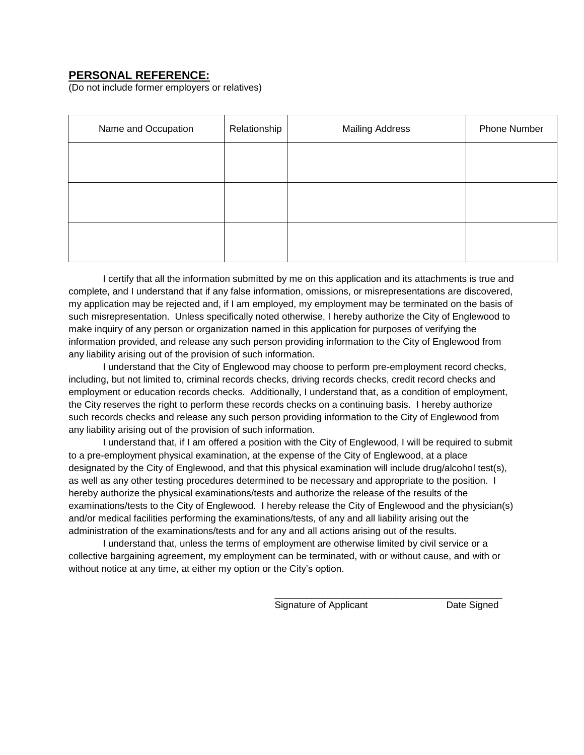### **PERSONAL REFERENCE:**

(Do not include former employers or relatives)

| Name and Occupation | Relationship | <b>Mailing Address</b> | Phone Number |
|---------------------|--------------|------------------------|--------------|
|                     |              |                        |              |
|                     |              |                        |              |
|                     |              |                        |              |
|                     |              |                        |              |
|                     |              |                        |              |

 I certify that all the information submitted by me on this application and its attachments is true and complete, and I understand that if any false information, omissions, or misrepresentations are discovered, my application may be rejected and, if I am employed, my employment may be terminated on the basis of such misrepresentation. Unless specifically noted otherwise, I hereby authorize the City of Englewood to make inquiry of any person or organization named in this application for purposes of verifying the information provided, and release any such person providing information to the City of Englewood from any liability arising out of the provision of such information.

 I understand that the City of Englewood may choose to perform pre-employment record checks, including, but not limited to, criminal records checks, driving records checks, credit record checks and employment or education records checks. Additionally, I understand that, as a condition of employment, the City reserves the right to perform these records checks on a continuing basis. I hereby authorize such records checks and release any such person providing information to the City of Englewood from any liability arising out of the provision of such information.

 I understand that, if I am offered a position with the City of Englewood, I will be required to submit to a pre-employment physical examination, at the expense of the City of Englewood, at a place designated by the City of Englewood, and that this physical examination will include drug/alcohol test(s), as well as any other testing procedures determined to be necessary and appropriate to the position. I hereby authorize the physical examinations/tests and authorize the release of the results of the examinations/tests to the City of Englewood. I hereby release the City of Englewood and the physician(s) and/or medical facilities performing the examinations/tests, of any and all liability arising out the administration of the examinations/tests and for any and all actions arising out of the results.

 I understand that, unless the terms of employment are otherwise limited by civil service or a collective bargaining agreement, my employment can be terminated, with or without cause, and with or without notice at any time, at either my option or the City's option.

 $\frac{1}{2}$  ,  $\frac{1}{2}$  ,  $\frac{1}{2}$  ,  $\frac{1}{2}$  ,  $\frac{1}{2}$  ,  $\frac{1}{2}$  ,  $\frac{1}{2}$  ,  $\frac{1}{2}$  ,  $\frac{1}{2}$  ,  $\frac{1}{2}$  ,  $\frac{1}{2}$  ,  $\frac{1}{2}$  ,  $\frac{1}{2}$  ,  $\frac{1}{2}$  ,  $\frac{1}{2}$  ,  $\frac{1}{2}$  ,  $\frac{1}{2}$  ,  $\frac{1}{2}$  ,  $\frac{1$ 

Signature of Applicant Date Signed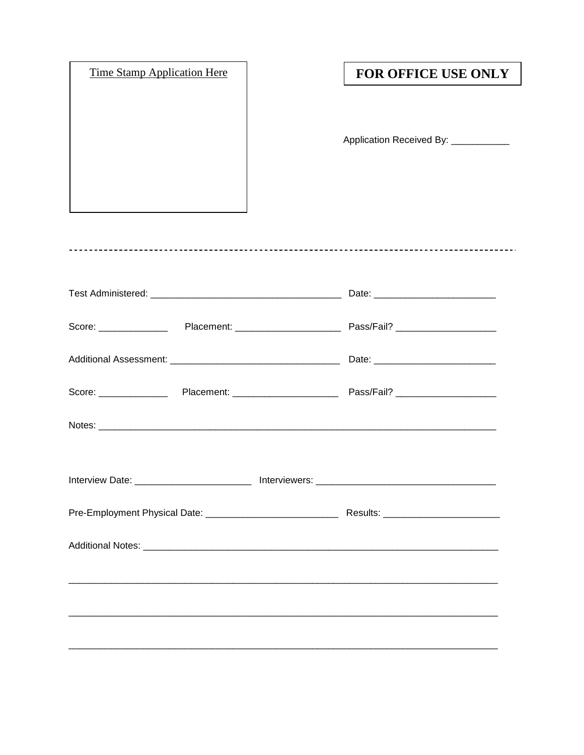| <b>Time Stamp Application Here</b> |                               | <b>FOR OFFICE USE ONLY</b>           |
|------------------------------------|-------------------------------|--------------------------------------|
|                                    |                               |                                      |
|                                    |                               |                                      |
|                                    |                               | Application Received By: ___________ |
|                                    |                               |                                      |
|                                    |                               |                                      |
|                                    |                               |                                      |
|                                    |                               |                                      |
|                                    |                               |                                      |
|                                    |                               |                                      |
|                                    |                               |                                      |
|                                    |                               |                                      |
|                                    |                               |                                      |
|                                    |                               |                                      |
|                                    |                               |                                      |
|                                    |                               |                                      |
|                                    |                               |                                      |
|                                    |                               |                                      |
|                                    |                               |                                      |
| Interview Date: ______             | Lotterviewers: Lotterwiewers: |                                      |
|                                    |                               |                                      |
|                                    |                               |                                      |
|                                    |                               |                                      |
|                                    |                               |                                      |
|                                    |                               |                                      |
|                                    |                               |                                      |
|                                    |                               |                                      |
|                                    |                               |                                      |